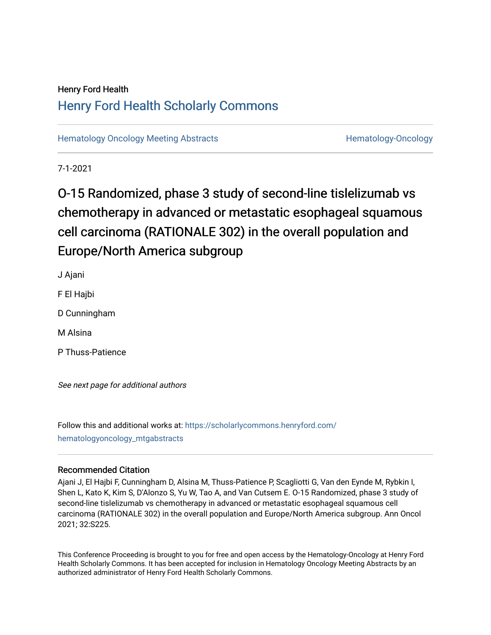## Henry Ford Health [Henry Ford Health Scholarly Commons](https://scholarlycommons.henryford.com/)

[Hematology Oncology Meeting Abstracts](https://scholarlycommons.henryford.com/hematologyoncology_mtgabstracts) **Hematology-Oncology-Oncology** 

7-1-2021

# O-15 Randomized, phase 3 study of second-line tislelizumab vs chemotherapy in advanced or metastatic esophageal squamous cell carcinoma (RATIONALE 302) in the overall population and Europe/North America subgroup

J Ajani F El Hajbi D Cunningham M Alsina

P Thuss-Patience

See next page for additional authors

Follow this and additional works at: [https://scholarlycommons.henryford.com/](https://scholarlycommons.henryford.com/hematologyoncology_mtgabstracts?utm_source=scholarlycommons.henryford.com%2Fhematologyoncology_mtgabstracts%2F83&utm_medium=PDF&utm_campaign=PDFCoverPages) [hematologyoncology\\_mtgabstracts](https://scholarlycommons.henryford.com/hematologyoncology_mtgabstracts?utm_source=scholarlycommons.henryford.com%2Fhematologyoncology_mtgabstracts%2F83&utm_medium=PDF&utm_campaign=PDFCoverPages) 

## Recommended Citation

Ajani J, El Hajbi F, Cunningham D, Alsina M, Thuss-Patience P, Scagliotti G, Van den Eynde M, Rybkin I, Shen L, Kato K, Kim S, D'Alonzo S, Yu W, Tao A, and Van Cutsem E. O-15 Randomized, phase 3 study of second-line tislelizumab vs chemotherapy in advanced or metastatic esophageal squamous cell carcinoma (RATIONALE 302) in the overall population and Europe/North America subgroup. Ann Oncol 2021; 32:S225.

This Conference Proceeding is brought to you for free and open access by the Hematology-Oncology at Henry Ford Health Scholarly Commons. It has been accepted for inclusion in Hematology Oncology Meeting Abstracts by an authorized administrator of Henry Ford Health Scholarly Commons.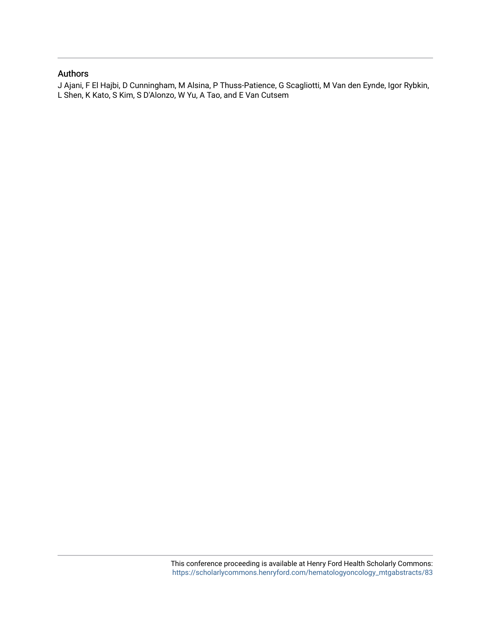## Authors

J Ajani, F El Hajbi, D Cunningham, M Alsina, P Thuss-Patience, G Scagliotti, M Van den Eynde, Igor Rybkin, L Shen, K Kato, S Kim, S D'Alonzo, W Yu, A Tao, and E Van Cutsem